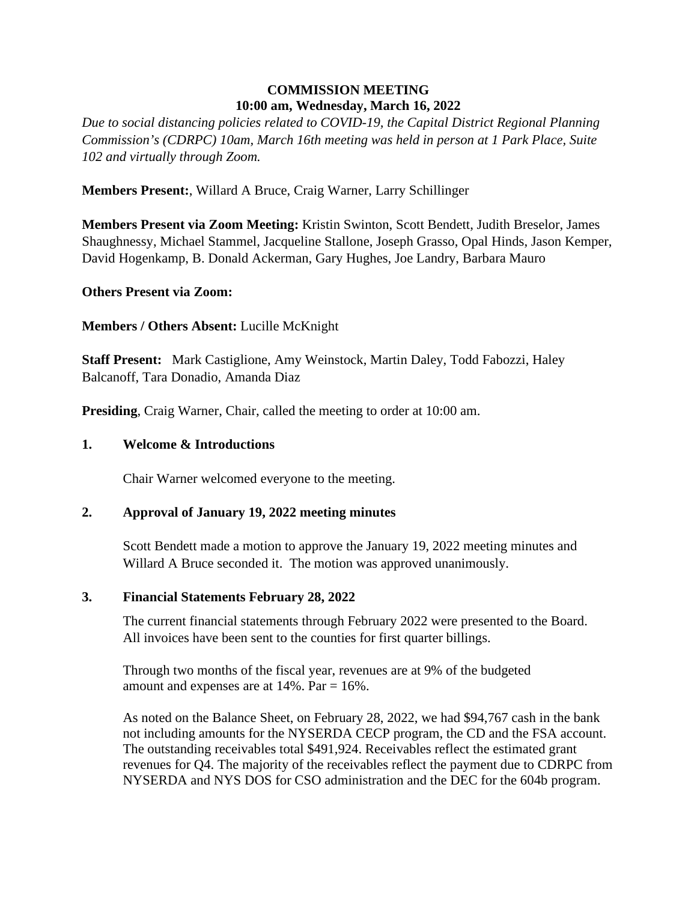# **COMMISSION MEETING 10:00 am, Wednesday, March 16, 2022**

*Due to social distancing policies related to COVID-19, the Capital District Regional Planning Commission's (CDRPC) 10am, March 16th meeting was held in person at 1 Park Place, Suite 102 and virtually through Zoom.*

**Members Present:**, Willard A Bruce, Craig Warner, Larry Schillinger

**Members Present via Zoom Meeting:** Kristin Swinton, Scott Bendett, Judith Breselor, James Shaughnessy, Michael Stammel, Jacqueline Stallone, Joseph Grasso, Opal Hinds, Jason Kemper, David Hogenkamp, B. Donald Ackerman, Gary Hughes, Joe Landry, Barbara Mauro

**Others Present via Zoom:** 

**Members / Others Absent:** Lucille McKnight

**Staff Present:** Mark Castiglione, Amy Weinstock, Martin Daley, Todd Fabozzi, Haley Balcanoff, Tara Donadio, Amanda Diaz

**Presiding**, Craig Warner, Chair, called the meeting to order at 10:00 am.

#### **1. Welcome & Introductions**

Chair Warner welcomed everyone to the meeting.

#### **2. Approval of January 19, 2022 meeting minutes**

Scott Bendett made a motion to approve the January 19, 2022 meeting minutes and Willard A Bruce seconded it. The motion was approved unanimously.

#### **3. Financial Statements February 28, 2022**

The current financial statements through February 2022 were presented to the Board. All invoices have been sent to the counties for first quarter billings.

Through two months of the fiscal year, revenues are at 9% of the budgeted amount and expenses are at  $14\%$ . Par =  $16\%$ .

As noted on the Balance Sheet, on February 28, 2022, we had \$94,767 cash in the bank not including amounts for the NYSERDA CECP program, the CD and the FSA account. The outstanding receivables total \$491,924. Receivables reflect the estimated grant revenues for Q4. The majority of the receivables reflect the payment due to CDRPC from NYSERDA and NYS DOS for CSO administration and the DEC for the 604b program.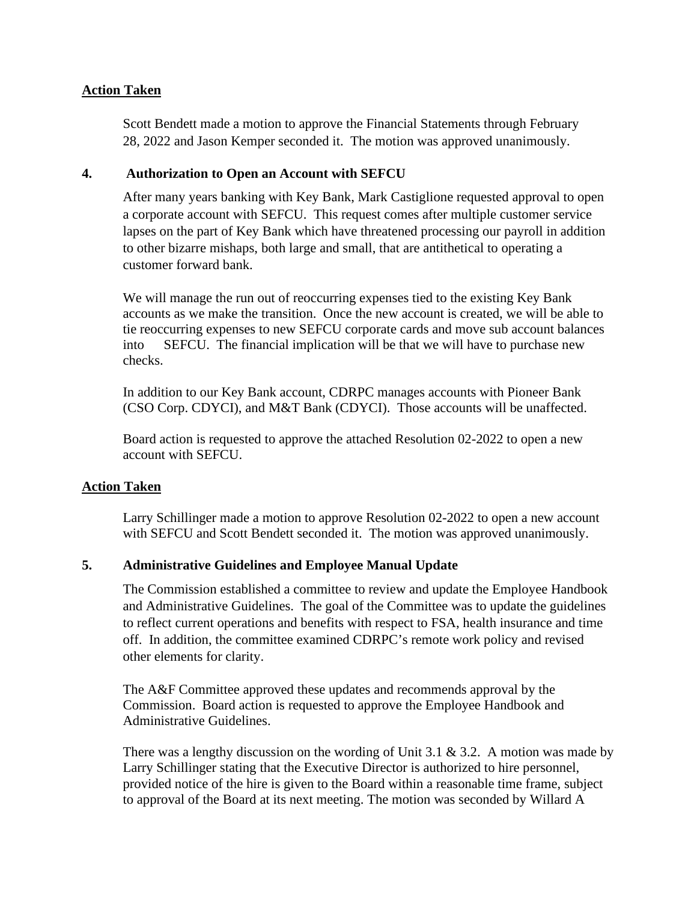### **Action Taken**

Scott Bendett made a motion to approve the Financial Statements through February 28, 2022 and Jason Kemper seconded it. The motion was approved unanimously.

#### **4. Authorization to Open an Account with SEFCU**

After many years banking with Key Bank, Mark Castiglione requested approval to open a corporate account with SEFCU. This request comes after multiple customer service lapses on the part of Key Bank which have threatened processing our payroll in addition to other bizarre mishaps, both large and small, that are antithetical to operating a customer forward bank.

We will manage the run out of reoccurring expenses tied to the existing Key Bank accounts as we make the transition. Once the new account is created, we will be able to tie reoccurring expenses to new SEFCU corporate cards and move sub account balances into SEFCU. The financial implication will be that we will have to purchase new checks.

In addition to our Key Bank account, CDRPC manages accounts with Pioneer Bank (CSO Corp. CDYCI), and M&T Bank (CDYCI). Those accounts will be unaffected.

Board action is requested to approve the attached Resolution 02-2022 to open a new account with SEFCU.

#### **Action Taken**

Larry Schillinger made a motion to approve Resolution 02-2022 to open a new account with SEFCU and Scott Bendett seconded it. The motion was approved unanimously.

#### **5. Administrative Guidelines and Employee Manual Update**

The Commission established a committee to review and update the Employee Handbook and Administrative Guidelines. The goal of the Committee was to update the guidelines to reflect current operations and benefits with respect to FSA, health insurance and time off. In addition, the committee examined CDRPC's remote work policy and revised other elements for clarity.

The A&F Committee approved these updates and recommends approval by the Commission. Board action is requested to approve the Employee Handbook and Administrative Guidelines.

There was a lengthy discussion on the wording of Unit 3.1  $\&$  3.2. A motion was made by Larry Schillinger stating that the Executive Director is authorized to hire personnel, provided notice of the hire is given to the Board within a reasonable time frame, subject to approval of the Board at its next meeting. The motion was seconded by Willard A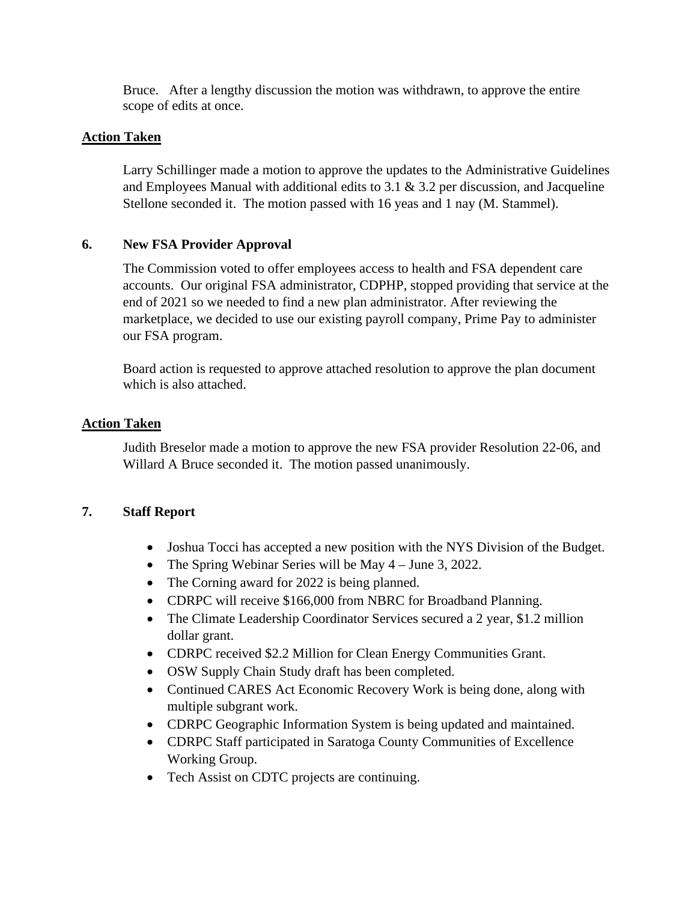Bruce. After a lengthy discussion the motion was withdrawn, to approve the entire scope of edits at once.

## **Action Taken**

Larry Schillinger made a motion to approve the updates to the Administrative Guidelines and Employees Manual with additional edits to 3.1 & 3.2 per discussion, and Jacqueline Stellone seconded it. The motion passed with 16 yeas and 1 nay (M. Stammel).

## **6. New FSA Provider Approval**

The Commission voted to offer employees access to health and FSA dependent care accounts. Our original FSA administrator, CDPHP, stopped providing that service at the end of 2021 so we needed to find a new plan administrator. After reviewing the marketplace, we decided to use our existing payroll company, Prime Pay to administer our FSA program.

Board action is requested to approve attached resolution to approve the plan document which is also attached.

#### **Action Taken**

Judith Breselor made a motion to approve the new FSA provider Resolution 22-06, and Willard A Bruce seconded it. The motion passed unanimously.

#### **7. Staff Report**

- Joshua Tocci has accepted a new position with the NYS Division of the Budget.
- The Spring Webinar Series will be May 4 June 3, 2022.
- The Corning award for 2022 is being planned.
- CDRPC will receive \$166,000 from NBRC for Broadband Planning.
- The Climate Leadership Coordinator Services secured a 2 year, \$1.2 million dollar grant.
- CDRPC received \$2.2 Million for Clean Energy Communities Grant.
- OSW Supply Chain Study draft has been completed.
- Continued CARES Act Economic Recovery Work is being done, along with multiple subgrant work.
- CDRPC Geographic Information System is being updated and maintained.
- CDRPC Staff participated in Saratoga County Communities of Excellence Working Group.
- Tech Assist on CDTC projects are continuing.